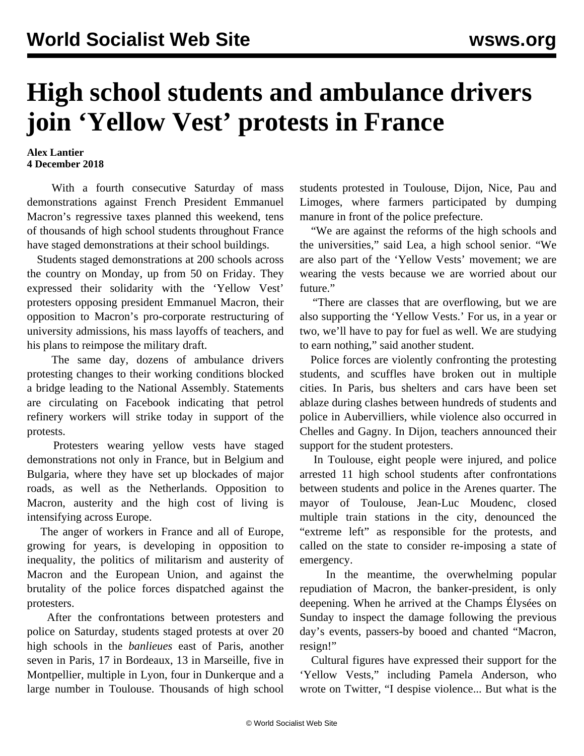## **High school students and ambulance drivers join 'Yellow Vest' protests in France**

## **Alex Lantier 4 December 2018**

 With a fourth consecutive Saturday of mass demonstrations against French President Emmanuel Macron's regressive taxes planned this weekend, tens of thousands of high school students throughout France have staged demonstrations at their school buildings.

 Students staged demonstrations at 200 schools across the country on Monday, up from 50 on Friday. They expressed their solidarity with the 'Yellow Vest' protesters opposing president Emmanuel Macron, their opposition to Macron's pro-corporate restructuring of university admissions, his mass layoffs of teachers, and his plans to reimpose the military draft.

 The same day, dozens of ambulance drivers protesting changes to their working conditions blocked a bridge leading to the National Assembly. Statements are circulating on Facebook indicating that petrol refinery workers will strike today in support of the protests.

 Protesters wearing yellow vests have staged demonstrations not only in France, but in Belgium and Bulgaria, where they have set up blockades of major roads, as well as the Netherlands. Opposition to Macron, austerity and the high cost of living is intensifying across Europe.

 The anger of workers in France and all of Europe, growing for years, is developing in opposition to inequality, the politics of militarism and austerity of Macron and the European Union, and against the brutality of the police forces dispatched against the protesters.

 After the confrontations between protesters and police on Saturday, students staged protests at over 20 high schools in the *banlieues* east of Paris, another seven in Paris, 17 in Bordeaux, 13 in Marseille, five in Montpellier, multiple in Lyon, four in Dunkerque and a large number in Toulouse. Thousands of high school

students protested in Toulouse, Dijon, Nice, Pau and Limoges, where farmers participated by dumping manure in front of the police prefecture.

 "We are against the reforms of the high schools and the universities," said Lea, a high school senior. "We are also part of the 'Yellow Vests' movement; we are wearing the vests because we are worried about our future."

 "There are classes that are overflowing, but we are also supporting the 'Yellow Vests.' For us, in a year or two, we'll have to pay for fuel as well. We are studying to earn nothing," said another student.

 Police forces are violently confronting the protesting students, and scuffles have broken out in multiple cities. In Paris, bus shelters and cars have been set ablaze during clashes between hundreds of students and police in Aubervilliers, while violence also occurred in Chelles and Gagny. In Dijon, teachers announced their support for the student protesters.

 In Toulouse, eight people were injured, and police arrested 11 high school students after confrontations between students and police in the Arenes quarter. The mayor of Toulouse, Jean-Luc Moudenc, closed multiple train stations in the city, denounced the "extreme left" as responsible for the protests, and called on the state to consider re-imposing a state of emergency.

 In the meantime, the overwhelming popular repudiation of Macron, the banker-president, is only deepening. When he arrived at the Champs Élysées on Sunday to inspect the damage following the previous day's events, passers-by booed and chanted "Macron, resign!"

 Cultural figures have expressed their support for the 'Yellow Vests," including Pamela Anderson, who wrote on Twitter, "I despise violence... But what is the